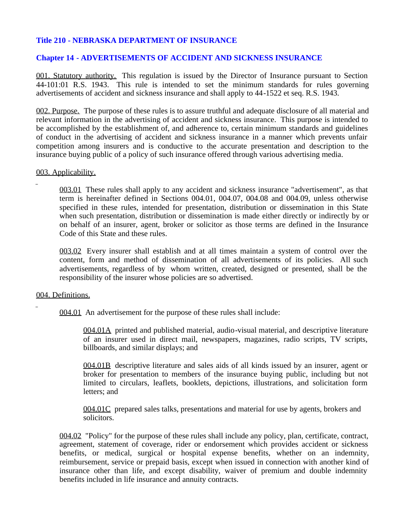# **Title 210 - NEBRASKA DEPARTMENT OF INSURANCE**

## **Chapter 14 - ADVERTISEMENTS OF ACCIDENT AND SICKNESS INSURANCE**

001. Statutory authority. This regulation is issued by the Director of Insurance pursuant to Section 44-101:01 R.S. 1943. This rule is intended to set the minimum standards for rules governing advertisements of accident and sickness insurance and shall apply to 44-1522 et seq. R.S. 1943.

002. Purpose. The purpose of these rules is to assure truthful and adequate disclosure of all material and relevant information in the advertising of accident and sickness insurance. This purpose is intended to be accomplished by the establishment of, and adherence to, certain minimum standards and guidelines of conduct in the advertising of accident and sickness insurance in a manner which prevents unfair competition among insurers and is conductive to the accurate presentation and description to the insurance buying public of a policy of such insurance offered through various advertising media.

#### 003. Applicability.

003.01 These rules shall apply to any accident and sickness insurance "advertisement", as that term is hereinafter defined in Sections 004.01, 004.07, 004.08 and 004.09, unless otherwise specified in these rules, intended for presentation, distribution or dissemination in this State when such presentation, distribution or dissemination is made either directly or indirectly by or on behalf of an insurer, agent, broker or solicitor as those terms are defined in the Insurance Code of this State and these rules.

003.02 Every insurer shall establish and at all times maintain a system of control over the content, form and method of dissemination of all advertisements of its policies. All such advertisements, regardless of by whom written, created, designed or presented, shall be the responsibility of the insurer whose policies are so advertised.

#### 004. Definitions.

004.01 An advertisement for the purpose of these rules shall include:

004.01A printed and published material, audio-visual material, and descriptive literature of an insurer used in direct mail, newspapers, magazines, radio scripts, TV scripts, billboards, and similar displays; and

004.01B descriptive literature and sales aids of all kinds issued by an insurer, agent or broker for presentation to members of the insurance buying public, including but not limited to circulars, leaflets, booklets, depictions, illustrations, and solicitation form letters; and

004.01C prepared sales talks, presentations and material for use by agents, brokers and solicitors.

004.02 "Policy" for the purpose of these rules shall include any policy, plan, certificate, contract, agreement, statement of coverage, rider or endorsement which provides accident or sickness benefits, or medical, surgical or hospital expense benefits, whether on an indemnity, reimbursement, service or prepaid basis, except when issued in connection with another kind of insurance other than life, and except disability, waiver of premium and double indemnity benefits included in life insurance and annuity contracts.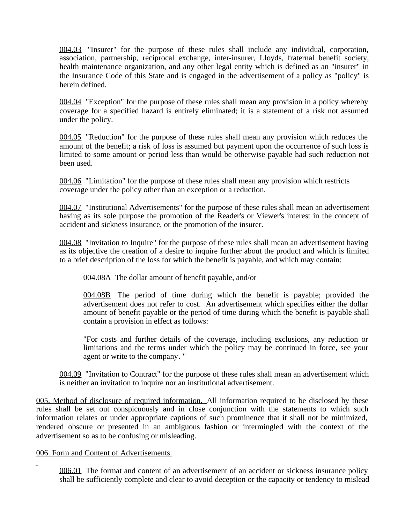004.03 "Insurer" for the purpose of these rules shall include any individual, corporation, association, partnership, reciprocal exchange, inter-insurer, Lloyds, fraternal benefit society, health maintenance organization, and any other legal entity which is defined as an "insurer" in the Insurance Code of this State and is engaged in the advertisement of a policy as "policy" is herein defined.

004.04 "Exception" for the purpose of these rules shall mean any provision in a policy whereby coverage for a specified hazard is entirely eliminated; it is a statement of a risk not assumed under the policy.

004.05 "Reduction" for the purpose of these rules shall mean any provision which reduces the amount of the benefit; a risk of loss is assumed but payment upon the occurrence of such loss is limited to some amount or period less than would be otherwise payable had such reduction not been used.

004.06 "Limitation" for the purpose of these rules shall mean any provision which restricts coverage under the policy other than an exception or a reduction.

004.07 "Institutional Advertisements" for the purpose of these rules shall mean an advertisement having as its sole purpose the promotion of the Reader's or Viewer's interest in the concept of accident and sickness insurance, or the promotion of the insurer.

004.08 "Invitation to Inquire" for the purpose of these rules shall mean an advertisement having as its objective the creation of a desire to inquire further about the product and which is limited to a brief description of the loss for which the benefit is payable, and which may contain:

004.08A The dollar amount of benefit payable, and/or

004.08B The period of time during which the benefit is payable; provided the advertisement does not refer to cost. An advertisement which specifies either the dollar amount of benefit payable or the period of time during which the benefit is payable shall contain a provision in effect as follows:

"For costs and further details of the coverage, including exclusions, any reduction or limitations and the terms under which the policy may be continued in force, see your agent or write to the company. "

004.09 "Invitation to Contract" for the purpose of these rules shall mean an advertisement which is neither an invitation to inquire nor an institutional advertisement.

005. Method of disclosure of required information. All information required to be disclosed by these rules shall be set out conspicuously and in close conjunction with the statements to which such information relates or under appropriate captions of such prominence that it shall not be minimized, rendered obscure or presented in an ambiguous fashion or intermingled with the context of the advertisement so as to be confusing or misleading.

## 006. Form and Content of Advertisements.

006.01 The format and content of an advertisement of an accident or sickness insurance policy shall be sufficiently complete and clear to avoid deception or the capacity or tendency to mislead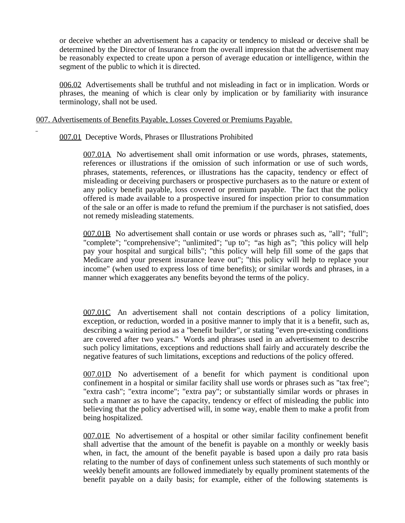or deceive whether an advertisement has a capacity or tendency to mislead or deceive shall be determined by the Director of Insurance from the overall impression that the advertisement may be reasonably expected to create upon a person of average education or intelligence, within the segment of the public to which it is directed.

006.02 Advertisements shall be truthful and not misleading in fact or in implication. Words or phrases, the meaning of which is clear only by implication or by familiarity with insurance terminology, shall not be used.

007. Advertisements of Benefits Payable, Losses Covered or Premiums Payable.

007.01 Deceptive Words, Phrases or Illustrations Prohibited

007.01A No advertisement shall omit information or use words, phrases, statements, references or illustrations if the omission of such information or use of such words, phrases, statements, references, or illustrations has the capacity, tendency or effect of misleading or deceiving purchasers or prospective purchasers as to the nature or extent of any policy benefit payable, loss covered or premium payable. The fact that the policy offered is made available to a prospective insured for inspection prior to consummation of the sale or an offer is made to refund the premium if the purchaser is not satisfied, does not remedy misleading statements.

007.01B No advertisement shall contain or use words or phrases such as, "all"; "full"; "complete"; "comprehensive"; "unlimited"; "up to"; "as high as"; "this policy will help pay your hospital and surgical bills"; "this policy will help fill some of the gaps that Medicare and your present insurance leave out"; "this policy will help to replace your income" (when used to express loss of time benefits); or similar words and phrases, in a manner which exaggerates any benefits beyond the terms of the policy.

007.01C An advertisement shall not contain descriptions of a policy limitation, exception, or reduction, worded in a positive manner to imply that it is a benefit, such as, describing a waiting period as a "benefit builder", or stating "even pre-existing conditions are covered after two years." Words and phrases used in an advertisement to describe such policy limitations, exceptions and reductions shall fairly and accurately describe the negative features of such limitations, exceptions and reductions of the policy offered.

007.01D No advertisement of a benefit for which payment is conditional upon confinement in a hospital or similar facility shall use words or phrases such as "tax free"; "extra cash"; "extra income"; "extra pay"; or substantially similar words or phrases in such a manner as to have the capacity, tendency or effect of misleading the public into believing that the policy advertised will, in some way, enable them to make a profit from being hospitalized.

007.01E No advertisement of a hospital or other similar facility confinement benefit shall advertise that the amount of the benefit is payable on a monthly or weekly basis when, in fact, the amount of the benefit payable is based upon a daily pro rata basis relating to the number of days of confinement unless such statements of such monthly or weekly benefit amounts are followed immediately by equally prominent statements of the benefit payable on a daily basis; for example, either of the following statements is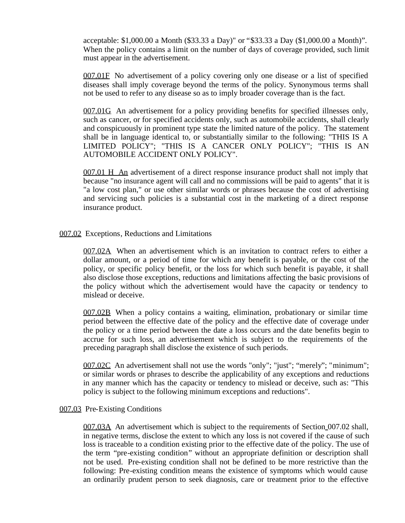acceptable: \$1,000.00 a Month (\$33.33 a Day)" or "\$33.33 a Day (\$1,000.00 a Month)". When the policy contains a limit on the number of days of coverage provided, such limit must appear in the advertisement.

007.01F No advertisement of a policy covering only one disease or a list of specified diseases shall imply coverage beyond the terms of the policy. Synonymous terms shall not be used to refer to any disease so as to imply broader coverage than is the fact.

007.01G An advertisement for a policy providing benefits for specified illnesses only, such as cancer, or for specified accidents only, such as automobile accidents, shall clearly and conspicuously in prominent type state the limited nature of the policy. The statement shall be in language identical to, or substantially similar to the following: "THIS IS A LIMITED POLICY"; "THIS IS A CANCER ONLY POLICY"; "THIS IS AN AUTOMOBILE ACCIDENT ONLY POLICY".

007.01 H An advertisement of a direct response insurance product shall not imply that because "no insurance agent will call and no commissions will be paid to agents" that it is "a low cost plan," or use other similar words or phrases because the cost of advertising and servicing such policies is a substantial cost in the marketing of a direct response insurance product.

#### 007.02 Exceptions, Reductions and Limitations

007.02A When an advertisement which is an invitation to contract refers to either a dollar amount, or a period of time for which any benefit is payable, or the cost of the policy, or specific policy benefit, or the loss for which such benefit is payable, it shall also disclose those exceptions, reductions and limitations affecting the basic provisions of the policy without which the advertisement would have the capacity or tendency to mislead or deceive.

007.02B When a policy contains a waiting, elimination, probationary or similar time period between the effective date of the policy and the effective date of coverage under the policy or a time period between the date a loss occurs and the date benefits begin to accrue for such loss, an advertisement which is subject to the requirements of the preceding paragraph shall disclose the existence of such periods.

007.02C An advertisement shall not use the words "only"; "just"; "merely"; "minimum"; or similar words or phrases to describe the applicability of any exceptions and reductions in any manner which has the capacity or tendency to mislead or deceive, such as: "This policy is subject to the following minimum exceptions and reductions".

#### 007.03 Pre-Existing Conditions

007.03A An advertisement which is subject to the requirements of Section 007.02 shall, in negative terms, disclose the extent to which any loss is not covered if the cause of such loss is traceable to a condition existing prior to the effective date of the policy. The use of the term "pre-existing condition" without an appropriate definition or description shall not be used. Pre-existing condition shall not be defined to be more restrictive than the following: Pre-existing condition means the existence of symptoms which would cause an ordinarily prudent person to seek diagnosis, care or treatment prior to the effective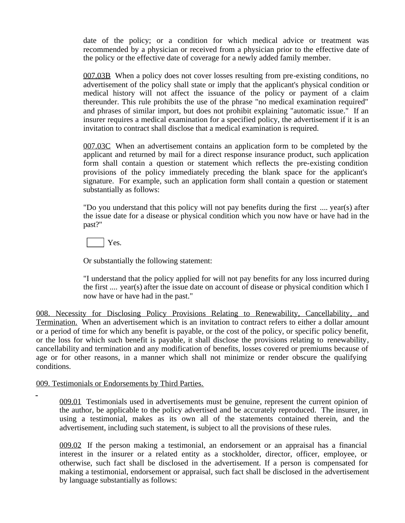date of the policy; or a condition for which medical advice or treatment was recommended by a physician or received from a physician prior to the effective date of the policy or the effective date of coverage for a newly added family member.

007.03B When a policy does not cover losses resulting from pre-existing conditions, no advertisement of the policy shall state or imply that the applicant's physical condition or medical history will not affect the issuance of the policy or payment of a claim thereunder. This rule prohibits the use of the phrase "no medical examination required" and phrases of similar import, but does not prohibit explaining "automatic issue." If an insurer requires a medical examination for a specified policy, the advertisement if it is an invitation to contract shall disclose that a medical examination is required.

007.03C When an advertisement contains an application form to be completed by the applicant and returned by mail for a direct response insurance product, such application form shall contain a question or statement which reflects the pre-existing condition provisions of the policy immediately preceding the blank space for the applicant's signature. For example, such an application form shall contain a question or statement substantially as follows:

"Do you understand that this policy will not pay benefits during the first .... year(s) after the issue date for a disease or physical condition which you now have or have had in the past?"

Yes.

Or substantially the following statement:

"I understand that the policy applied for will not pay benefits for any loss incurred during the first .... year(s) after the issue date on account of disease or physical condition which I now have or have had in the past."

008. Necessity for Disclosing Policy Provisions Relating to Renewability, Cancellability, and Termination. When an advertisement which is an invitation to contract refers to either a dollar amount or a period of time for which any benefit is payable, or the cost of the policy, or specific policy benefit, or the loss for which such benefit is payable, it shall disclose the provisions relating to renewability, cancellability and termination and any modification of benefits, losses covered or premiums because of age or for other reasons, in a manner which shall not minimize or render obscure the qualifying conditions.

## 009. Testimonials or Endorsements by Third Parties.

009.01 Testimonials used in advertisements must be genuine, represent the current opinion of the author, be applicable to the policy advertised and be accurately reproduced. The insurer, in using a testimonial, makes as its own all of the statements contained therein, and the advertisement, including such statement, is subject to all the provisions of these rules.

009.02 If the person making a testimonial, an endorsement or an appraisal has a financial interest in the insurer or a related entity as a stockholder, director, officer, employee, or otherwise, such fact shall be disclosed in the advertisement. If a person is compensated for making a testimonial, endorsement or appraisal, such fact shall be disclosed in the advertisement by language substantially as follows: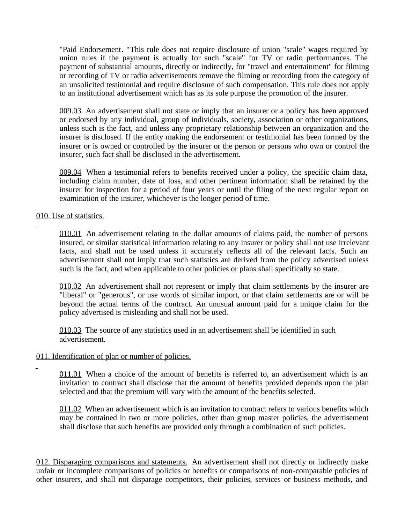"Paid Endorsement. "This rule does not require disclosure of union "scale" wages required by union rules if the payment is actually for such "scale" for TV or radio performances. The payment of substantial amounts, directly or indirectly, for "travel and entertainment" for filming or recording of TV or radio advertisements remove the filming or recording from the category of an unsolicited testimonial and require disclosure of such compensation. This rule does not apply to an institutional advertisement which has as its sole purpose the promotion of the insurer.

009.03 An advertisement shall not state or imply that an insurer or a policy has been approved or endorsed by any individual, group of individuals, society, association or other organizations, unless such is the fact, and unless any proprietary relationship between an organization and the insurer is disclosed. If the entity making the endorsement or testimonial has been formed by the insurer or is owned or controlled by the insurer or the person or persons who own or control the insurer, such fact shall be disclosed in the advertisement.

009.04 When a testimonial refers to benefits received under a policy, the specific claim data, including claim number, date of loss, and other pertinent information shall be retained by the insurer for inspection for a period of four years or until the filing of the next regular report on examination of the insurer, whichever is the longer period of time.

## 010. Use of statistics.

010.01 An advertisement relating to the dollar amounts of claims paid, the number of persons insured, or similar statistical information relating to any insurer or policy shall not use irrelevant facts, and shall not be used unless it accurately reflects all of the relevant facts. Such an advertisement shall not imply that such statistics are derived from the policy advertised unless such is the fact, and when applicable to other policies or plans shall specifically so state.

010.02 An advertisement shall not represent or imply that claim settlements by the insurer are "liberal" or "generous", or use words of similar import, or that claim settlements are or will be beyond the actual terms of the contract. An unusual amount paid for a unique claim for the policy advertised is misleading and shall not be used.

010.03 The source of any statistics used in an advertisement shall be identified in such advertisement.

## 011. Identification of plan or number of policies.

011.01 When a choice of the amount of benefits is referred to, an advertisement which is an invitation to contract shall disclose that the amount of benefits provided depends upon the plan selected and that the premium will vary with the amount of the benefits selected.

011.02 When an advertisement which is an invitation to contract refers to various benefits which may be contained in two or more policies, other than group master policies, the advertisement shall disclose that such benefits are provided only through a combination of such policies.

012. Disparaging comparisons and statements. An advertisement shall not directly or indirectly make unfair or incomplete comparisons of policies or benefits or comparisons of non-comparable policies of other insurers, and shall not disparage competitors, their policies, services or business methods, and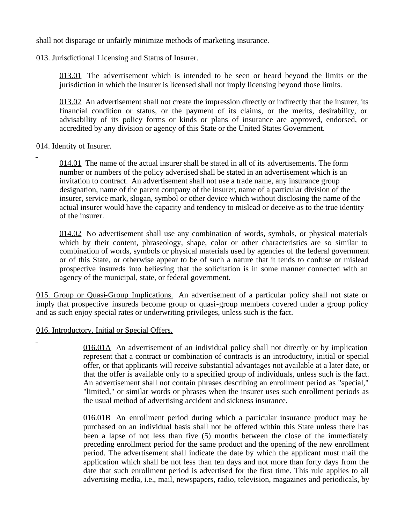shall not disparage or unfairly minimize methods of marketing insurance.

## 013. Jurisdictional Licensing and Status of Insurer.

013.01 The advertisement which is intended to be seen or heard beyond the limits or the jurisdiction in which the insurer is licensed shall not imply licensing beyond those limits.

013.02 An advertisement shall not create the impression directly or indirectly that the insurer, its financial condition or status, or the payment of its claims, or the merits, desirability, or advisability of its policy forms or kinds or plans of insurance are approved, endorsed, or accredited by any division or agency of this State or the United States Government.

## 014. Identity of Insurer.

014.01 The name of the actual insurer shall be stated in all of its advertisements. The form number or numbers of the policy advertised shall be stated in an advertisement which is an invitation to contract. An advertisement shall not use a trade name, any insurance group designation, name of the parent company of the insurer, name of a particular division of the insurer, service mark, slogan, symbol or other device which without disclosing the name of the actual insurer would have the capacity and tendency to mislead or deceive as to the true identity of the insurer.

014.02 No advertisement shall use any combination of words, symbols, or physical materials which by their content, phraseology, shape, color or other characteristics are so similar to combination of words, symbols or physical materials used by agencies of the federal government or of this State, or otherwise appear to be of such a nature that it tends to confuse or mislead prospective insureds into believing that the solicitation is in some manner connected with an agency of the municipal, state, or federal government.

015. Group or Quasi-Group Implications. An advertisement of a particular policy shall not state or imply that prospective insureds become group or quasi-group members covered under a group policy and as such enjoy special rates or underwriting privileges, unless such is the fact.

## 016. Introductory, Initial or Special Offers.

016.01A An advertisement of an individual policy shall not directly or by implication represent that a contract or combination of contracts is an introductory, initial or special offer, or that applicants will receive substantial advantages not available at a later date, or that the offer is available only to a specified group of individuals, unless such is the fact. An advertisement shall not contain phrases describing an enrollment period as "special," "limited," or similar words or phrases when the insurer uses such enrollment periods as the usual method of advertising accident and sickness insurance.

016.01B An enrollment period during which a particular insurance product may be purchased on an individual basis shall not be offered within this State unless there has been a lapse of not less than five (5) months between the close of the immediately preceding enrollment period for the same product and the opening of the new enrollment period. The advertisement shall indicate the date by which the applicant must mail the application which shall be not less than ten days and not more than forty days from the date that such enrollment period is advertised for the first time. This rule applies to all advertising media, i.e., mail, newspapers, radio, television, magazines and periodicals, by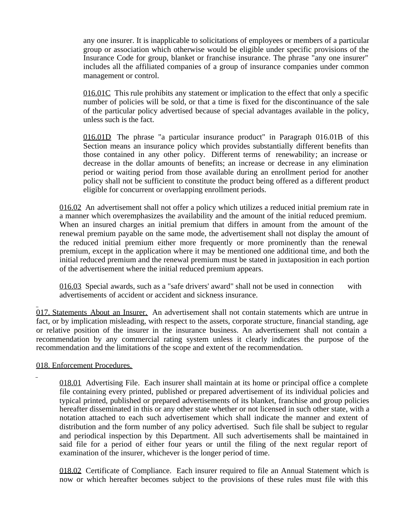any one insurer. It is inapplicable to solicitations of employees or members of a particular group or association which otherwise would be eligible under specific provisions of the Insurance Code for group, blanket or franchise insurance. The phrase "any one insurer" includes all the affiliated companies of a group of insurance companies under common management or control.

016.01C This rule prohibits any statement or implication to the effect that only a specific number of policies will be sold, or that a time is fixed for the discontinuance of the sale of the particular policy advertised because of special advantages available in the policy, unless such is the fact.

016.01D The phrase "a particular insurance product" in Paragraph 016.01B of this Section means an insurance policy which provides substantially different benefits than those contained in any other policy. Different terms of renewability; an increase or decrease in the dollar amounts of benefits; an increase or decrease in any elimination period or waiting period from those available during an enrollment period for another policy shall not be sufficient to constitute the product being offered as a different product eligible for concurrent or overlapping enrollment periods.

016.02 An advertisement shall not offer a policy which utilizes a reduced initial premium rate in a manner which overemphasizes the availability and the amount of the initial reduced premium. When an insured charges an initial premium that differs in amount from the amount of the renewal premium payable on the same mode, the advertisement shall not display the amount of the reduced initial premium either more frequently or more prominently than the renewal premium, except in the application where it may be mentioned one additional time, and both the initial reduced premium and the renewal premium must be stated in juxtaposition in each portion of the advertisement where the initial reduced premium appears.

016.03 Special awards, such as a "safe drivers' award" shall not be used in connection with advertisements of accident or accident and sickness insurance.

017. Statements About an Insurer. An advertisement shall not contain statements which are untrue in fact, or by implication misleading, with respect to the assets, corporate structure, financial standing, age or relative position of the insurer in the insurance business. An advertisement shall not contain a recommendation by any commercial rating system unless it clearly indicates the purpose of the recommendation and the limitations of the scope and extent of the recommendation.

018. Enforcement Procedures.

018.01 Advertising File. Each insurer shall maintain at its home or principal office a complete file containing every printed, published or prepared advertisement of its individual policies and typical printed, published or prepared advertisements of its blanket, franchise and group policies hereafter disseminated in this or any other state whether or not licensed in such other state, with a notation attached to each such advertisement which shall indicate the manner and extent of distribution and the form number of any policy advertised. Such file shall be subject to regular and periodical inspection by this Department. All such advertisements shall be maintained in said file for a period of either four years or until the filing of the next regular report of examination of the insurer, whichever is the longer period of time.

018.02 Certificate of Compliance. Each insurer required to file an Annual Statement which is now or which hereafter becomes subject to the provisions of these rules must file with this